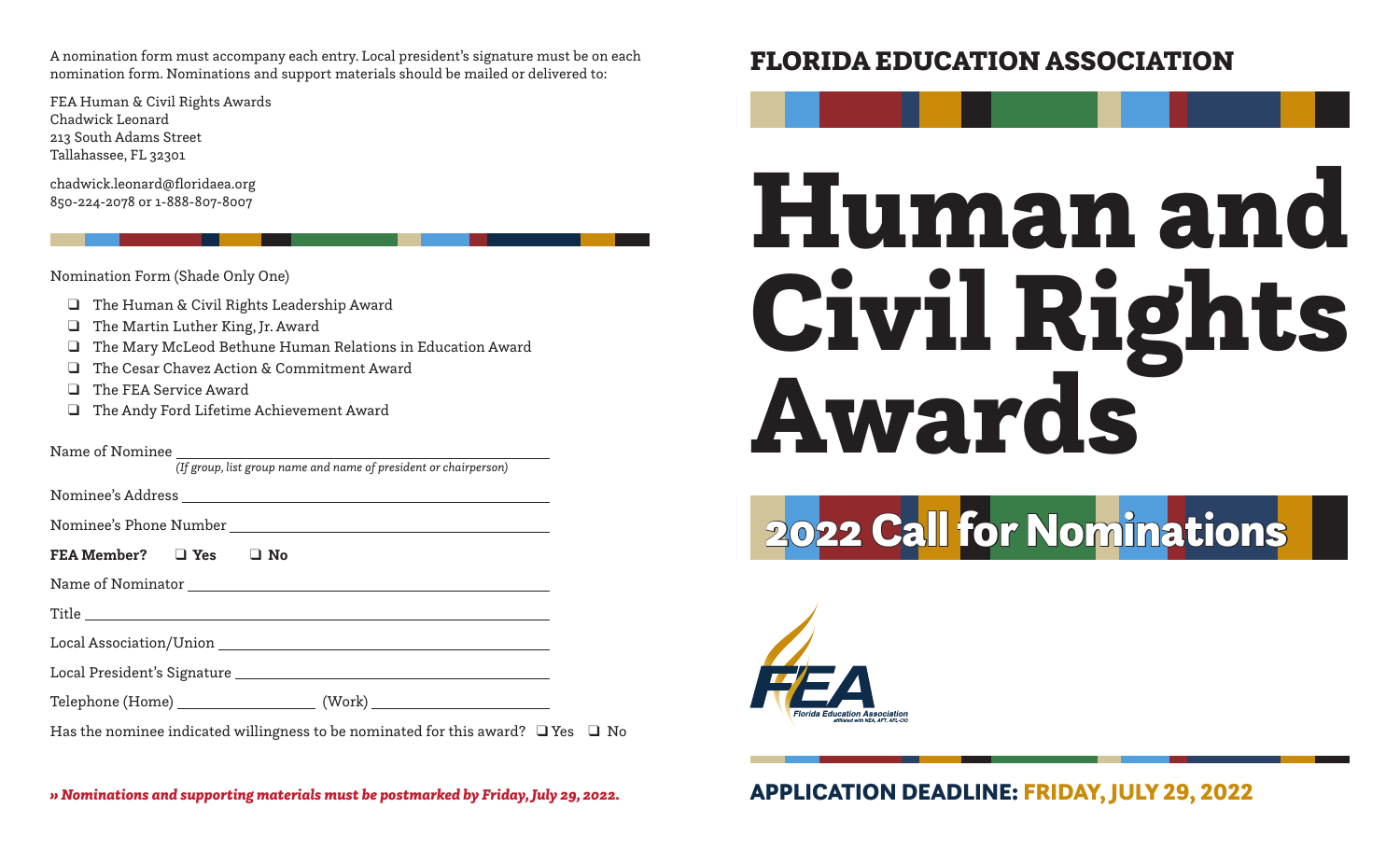A nomination form must accompany each entry. Local president's signature must be on each nomination form. Nominations and support materials should be mailed or delivered to:

FEA Human & Civil Rights Awards Chadwick Leonard 213 South Adams Street Tallahassee, FL 32301

chadwick.leonard@floridaea.org 850-224-2078 or 1-888-807-8007

Nomination Form (Shade Only One)

- ❑ The Human & Civil Rights Leadership Award
- ❑ The Martin Luther King, Jr. Award
- ❑ The Mary McLeod Bethune Human Relations in Education Award
- ❑ The Cesar Chavez Action & Commitment Award
- ❑ The FEA Service Award
- ❑ The Andy Ford Lifetime Achievement Award

Name of Nominee

*(If group, list group name and name of president or chairperson)*

Nominee's Address

Nominee's Phone Number

**FEA Member?** ❑ **Yes** ❑ **No**

Name of Nominator

Title

Local Association/Union

Local President's Signature

Telephone (Home) (Work)

Has the nominee indicated willingness to be nominated for this award? ❑ Yes ❑ No

# FLORIDA EDUCATION ASSOCIATION

# Human and Civil Rights Awards

2022 Call for Nominations



*» Nominations and supporting materials must be postmarked by Friday, July 29, 2022.* APPLICATION DEADLINE: FRIDAY, JULY 29, 2022